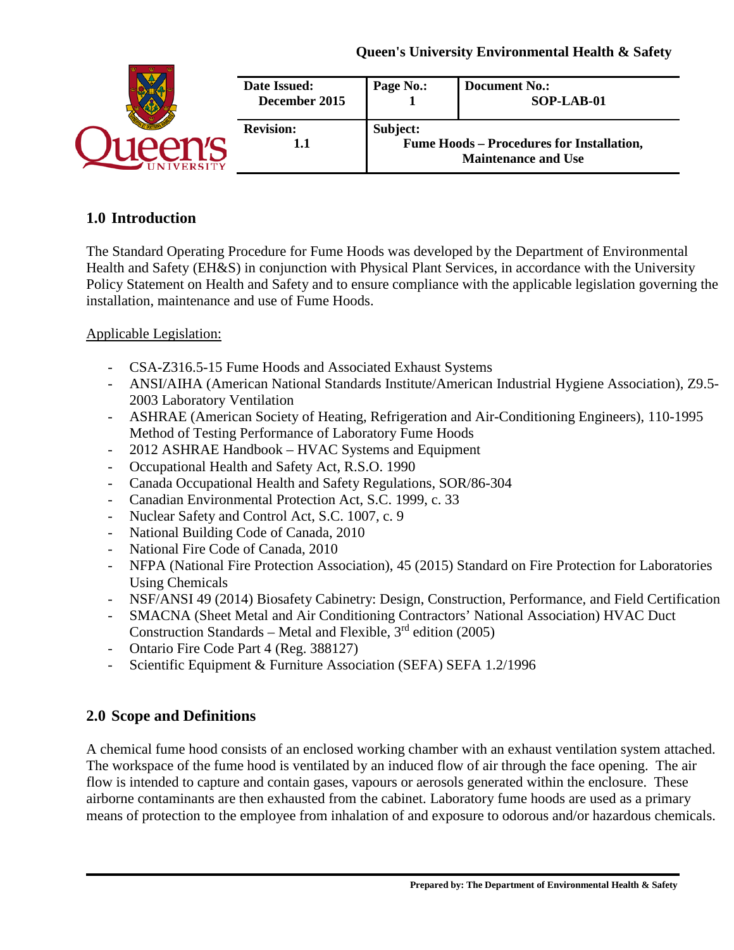| Date Issued:<br>December 2015 | Page No.: | <b>Document No.:</b><br>SOP-LAB-01                                             |
|-------------------------------|-----------|--------------------------------------------------------------------------------|
| <b>Revision:</b><br>1.1       | Subject:  | <b>Fume Hoods - Procedures for Installation,</b><br><b>Maintenance and Use</b> |

# **1.0 Introduction**

The Standard Operating Procedure for Fume Hoods was developed by the Department of Environmental Health and Safety (EH&S) in conjunction with Physical Plant Services, in accordance with the University Policy Statement on Health and Safety and to ensure compliance with the applicable legislation governing the installation, maintenance and use of Fume Hoods.

## Applicable Legislation:

- CSA-Z316.5-15 Fume Hoods and Associated Exhaust Systems
- ANSI/AIHA (American National Standards Institute/American Industrial Hygiene Association), Z9.5- 2003 Laboratory Ventilation
- ASHRAE (American Society of Heating, Refrigeration and Air-Conditioning Engineers), 110-1995 Method of Testing Performance of Laboratory Fume Hoods
- 2012 ASHRAE Handbook HVAC Systems and Equipment
- Occupational Health and Safety Act, R.S.O. 1990
- Canada Occupational Health and Safety Regulations, SOR/86-304
- Canadian Environmental Protection Act, S.C. 1999, c. 33
- Nuclear Safety and Control Act, S.C. 1007, c. 9
- National Building Code of Canada, 2010
- National Fire Code of Canada, 2010
- NFPA (National Fire Protection Association), 45 (2015) Standard on Fire Protection for Laboratories Using Chemicals
- NSF/ANSI 49 (2014) Biosafety Cabinetry: Design, Construction, Performance, and Field Certification
- SMACNA (Sheet Metal and Air Conditioning Contractors' National Association) HVAC Duct Construction Standards – Metal and Flexible,  $3<sup>rd</sup>$  edition (2005)
- Ontario Fire Code Part 4 (Reg. 388127)
- Scientific Equipment & Furniture Association (SEFA) SEFA 1.2/1996

# **2.0 Scope and Definitions**

A chemical fume hood consists of an enclosed working chamber with an exhaust ventilation system attached. The workspace of the fume hood is ventilated by an induced flow of air through the face opening. The air flow is intended to capture and contain gases, vapours or aerosols generated within the enclosure. These airborne contaminants are then exhausted from the cabinet. Laboratory fume hoods are used as a primary means of protection to the employee from inhalation of and exposure to odorous and/or hazardous chemicals.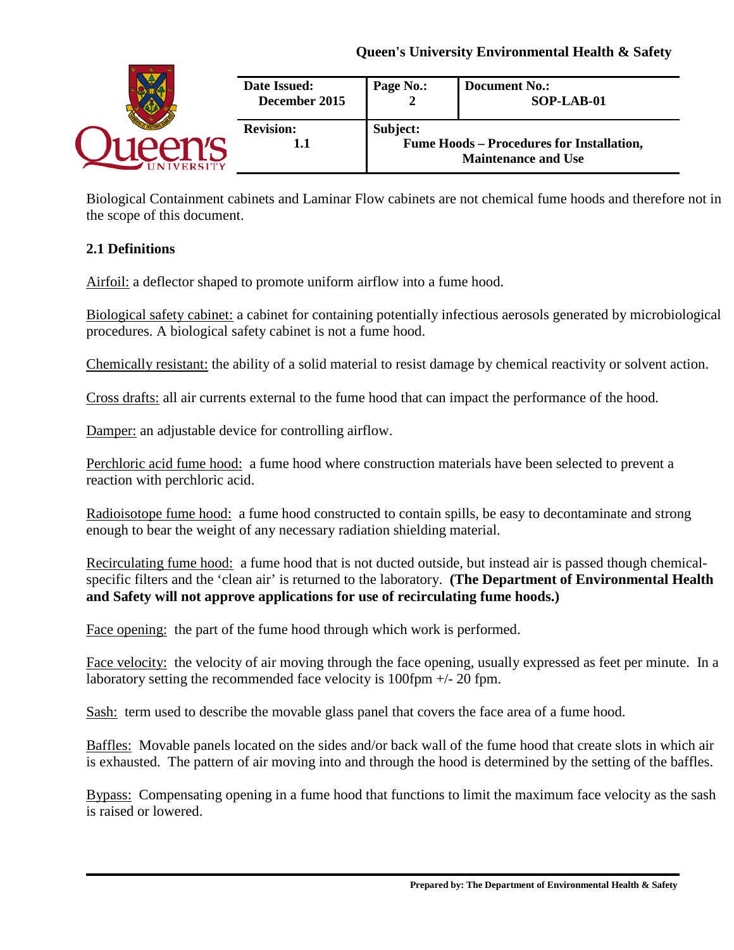| <b>Date Issued:</b><br>December 2015 | Page No.: | <b>Document No.:</b><br>SOP-LAB-01                                             |
|--------------------------------------|-----------|--------------------------------------------------------------------------------|
| <b>Revision:</b><br>1.1              | Subject:  | <b>Fume Hoods – Procedures for Installation,</b><br><b>Maintenance and Use</b> |

Biological Containment cabinets and Laminar Flow cabinets are not chemical fume hoods and therefore not in the scope of this document.

# **2.1 Definitions**

Airfoil: a deflector shaped to promote uniform airflow into a fume hood.

Biological safety cabinet: a cabinet for containing potentially infectious aerosols generated by microbiological procedures. A biological safety cabinet is not a fume hood.

Chemically resistant: the ability of a solid material to resist damage by chemical reactivity or solvent action.

Cross drafts: all air currents external to the fume hood that can impact the performance of the hood.

Damper: an adjustable device for controlling airflow.

Perchloric acid fume hood: a fume hood where construction materials have been selected to prevent a reaction with perchloric acid.

Radioisotope fume hood:a fume hood constructed to contain spills, be easy to decontaminate and strong enough to bear the weight of any necessary radiation shielding material.

Recirculating fume hood:a fume hood that is not ducted outside, but instead air is passed though chemicalspecific filters and the 'clean air' is returned to the laboratory. **(The Department of Environmental Health and Safety will not approve applications for use of recirculating fume hoods.)**

Face opening: the part of the fume hood through which work is performed.

Face velocity: the velocity of air moving through the face opening, usually expressed as feet per minute. In a laboratory setting the recommended face velocity is  $100$  fpm  $+/- 20$  fpm.

Sash: term used to describe the movable glass panel that covers the face area of a fume hood.

Baffles:Movable panels located on the sides and/or back wall of the fume hood that create slots in which air is exhausted. The pattern of air moving into and through the hood is determined by the setting of the baffles.

Bypass:Compensating opening in a fume hood that functions to limit the maximum face velocity as the sash is raised or lowered.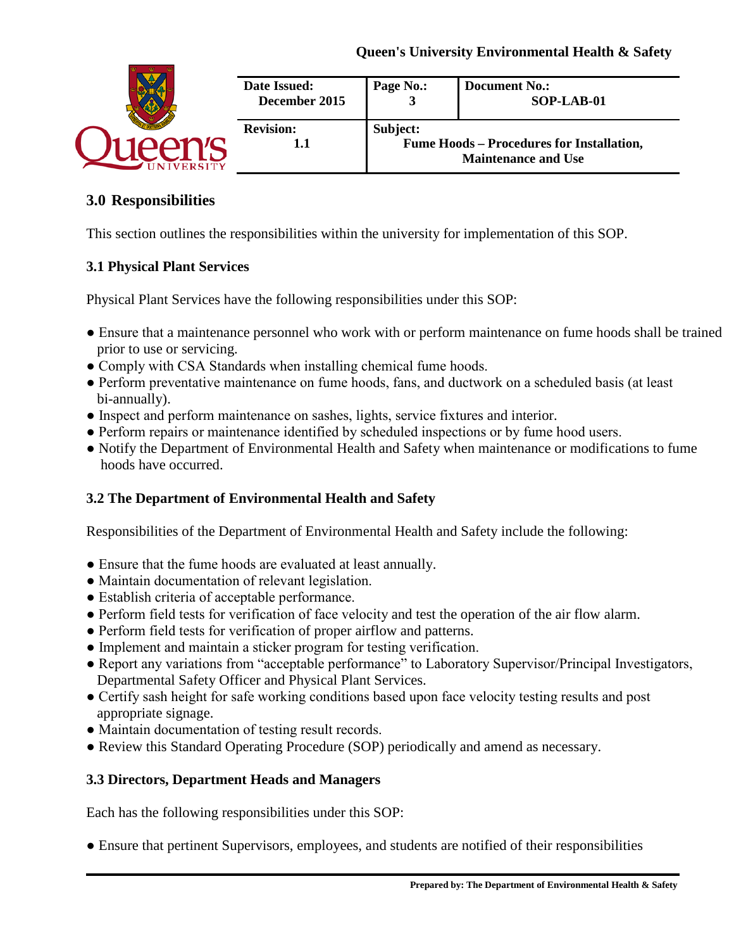| Date Issued:<br>December 2015 | Page No.: | <b>Document No.:</b><br>SOP-LAB-01                                             |
|-------------------------------|-----------|--------------------------------------------------------------------------------|
| <b>Revision:</b><br>1.1       | Subject:  | <b>Fume Hoods – Procedures for Installation,</b><br><b>Maintenance and Use</b> |

## **3.0 Responsibilities**

This section outlines the responsibilities within the university for implementation of this SOP.

### **3.1 Physical Plant Services**

Physical Plant Services have the following responsibilities under this SOP:

- Ensure that a maintenance personnel who work with or perform maintenance on fume hoods shall be trained prior to use or servicing.
- Comply with CSA Standards when installing chemical fume hoods.
- Perform preventative maintenance on fume hoods, fans, and ductwork on a scheduled basis (at least bi-annually).
- Inspect and perform maintenance on sashes, lights, service fixtures and interior.
- Perform repairs or maintenance identified by scheduled inspections or by fume hood users.
- Notify the Department of Environmental Health and Safety when maintenance or modifications to fume hoods have occurred.

### **3.2 The Department of Environmental Health and Safety**

Responsibilities of the Department of Environmental Health and Safety include the following:

- Ensure that the fume hoods are evaluated at least annually.
- Maintain documentation of relevant legislation.
- Establish criteria of acceptable performance.
- Perform field tests for verification of face velocity and test the operation of the air flow alarm.
- Perform field tests for verification of proper airflow and patterns.
- Implement and maintain a sticker program for testing verification.
- Report any variations from "acceptable performance" to Laboratory Supervisor/Principal Investigators, Departmental Safety Officer and Physical Plant Services.
- Certify sash height for safe working conditions based upon face velocity testing results and post appropriate signage.
- Maintain documentation of testing result records.
- Review this Standard Operating Procedure (SOP) periodically and amend as necessary.

### **3.3 Directors, Department Heads and Managers**

Each has the following responsibilities under this SOP:

● Ensure that pertinent Supervisors, employees, and students are notified of their responsibilities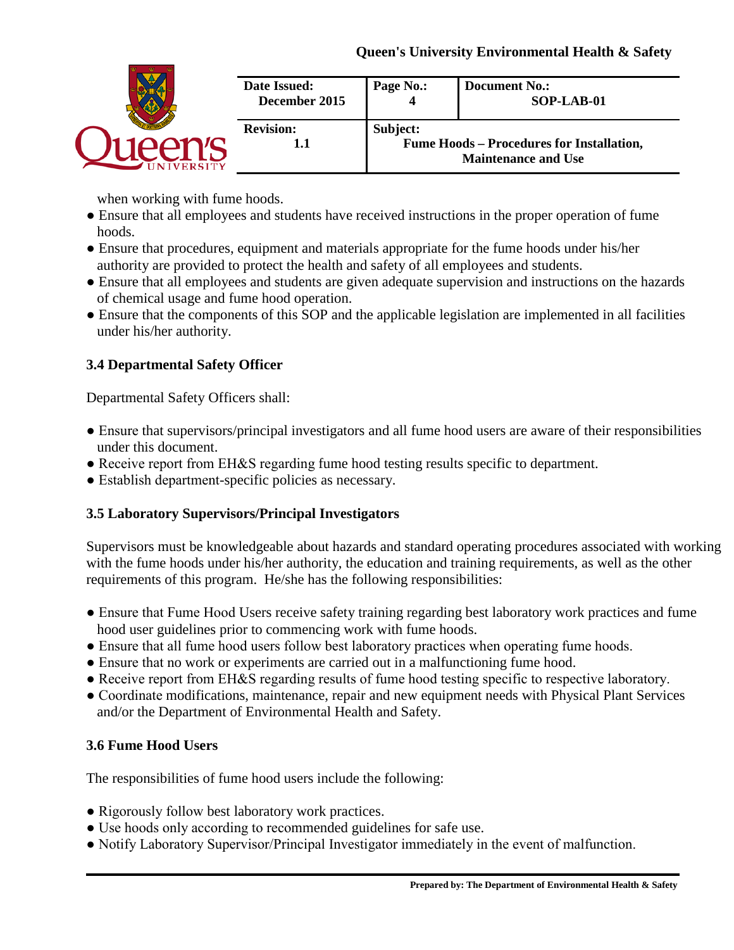| Date Issued:<br>December 2015 | Page No.: | <b>Document No.:</b><br>SOP-LAB-01                                             |
|-------------------------------|-----------|--------------------------------------------------------------------------------|
| <b>Revision:</b><br>1.1       | Subject:  | <b>Fume Hoods - Procedures for Installation,</b><br><b>Maintenance and Use</b> |

when working with fume hoods.

- Ensure that all employees and students have received instructions in the proper operation of fume hoods.
- Ensure that procedures, equipment and materials appropriate for the fume hoods under his/her authority are provided to protect the health and safety of all employees and students.
- Ensure that all employees and students are given adequate supervision and instructions on the hazards of chemical usage and fume hood operation.
- Ensure that the components of this SOP and the applicable legislation are implemented in all facilities under his/her authority.

# **3.4 Departmental Safety Officer**

Departmental Safety Officers shall:

- Ensure that supervisors/principal investigators and all fume hood users are aware of their responsibilities under this document.
- Receive report from EH&S regarding fume hood testing results specific to department.
- Establish department-specific policies as necessary.

# **3.5 Laboratory Supervisors/Principal Investigators**

Supervisors must be knowledgeable about hazards and standard operating procedures associated with working with the fume hoods under his/her authority, the education and training requirements, as well as the other requirements of this program. He/she has the following responsibilities:

- Ensure that Fume Hood Users receive safety training regarding best laboratory work practices and fume hood user guidelines prior to commencing work with fume hoods.
- Ensure that all fume hood users follow best laboratory practices when operating fume hoods.
- Ensure that no work or experiments are carried out in a malfunctioning fume hood.
- Receive report from EH&S regarding results of fume hood testing specific to respective laboratory.
- Coordinate modifications, maintenance, repair and new equipment needs with Physical Plant Services and/or the Department of Environmental Health and Safety.

# **3.6 Fume Hood Users**

The responsibilities of fume hood users include the following:

- Rigorously follow best laboratory work practices.
- Use hoods only according to recommended guidelines for safe use.
- Notify Laboratory Supervisor/Principal Investigator immediately in the event of malfunction.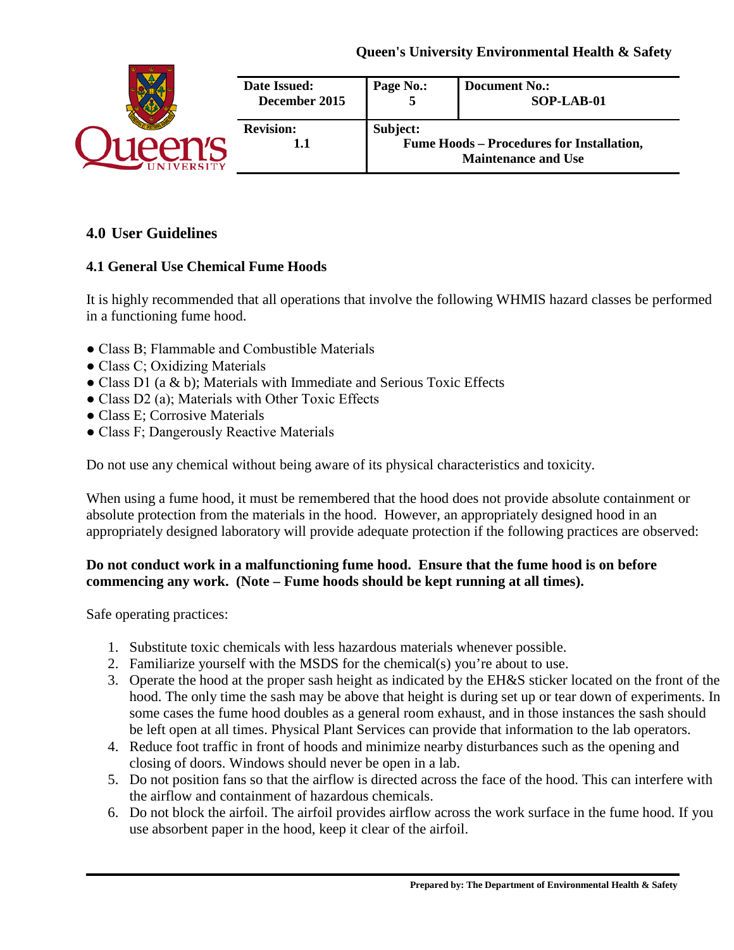

# **4.0 User Guidelines**

## **4.1 General Use Chemical Fume Hoods**

It is highly recommended that all operations that involve the following WHMIS hazard classes be performed in a functioning fume hood.

- Class B; Flammable and Combustible Materials
- Class C; Oxidizing Materials
- Class D1 (a & b); Materials with Immediate and Serious Toxic Effects
- Class D2 (a); Materials with Other Toxic Effects
- Class E; Corrosive Materials
- Class F; Dangerously Reactive Materials

Do not use any chemical without being aware of its physical characteristics and toxicity.

When using a fume hood, it must be remembered that the hood does not provide absolute containment or absolute protection from the materials in the hood. However, an appropriately designed hood in an appropriately designed laboratory will provide adequate protection if the following practices are observed:

### **Do not conduct work in a malfunctioning fume hood. Ensure that the fume hood is on before commencing any work. (Note – Fume hoods should be kept running at all times).**

Safe operating practices:

- 1. Substitute toxic chemicals with less hazardous materials whenever possible.
- 2. Familiarize yourself with the MSDS for the chemical(s) you're about to use.
- 3. Operate the hood at the proper sash height as indicated by the EH&S sticker located on the front of the hood. The only time the sash may be above that height is during set up or tear down of experiments. In some cases the fume hood doubles as a general room exhaust, and in those instances the sash should be left open at all times. Physical Plant Services can provide that information to the lab operators.
- 4. Reduce foot traffic in front of hoods and minimize nearby disturbances such as the opening and closing of doors. Windows should never be open in a lab.
- 5. Do not position fans so that the airflow is directed across the face of the hood. This can interfere with the airflow and containment of hazardous chemicals.
- 6. Do not block the airfoil. The airfoil provides airflow across the work surface in the fume hood. If you use absorbent paper in the hood, keep it clear of the airfoil.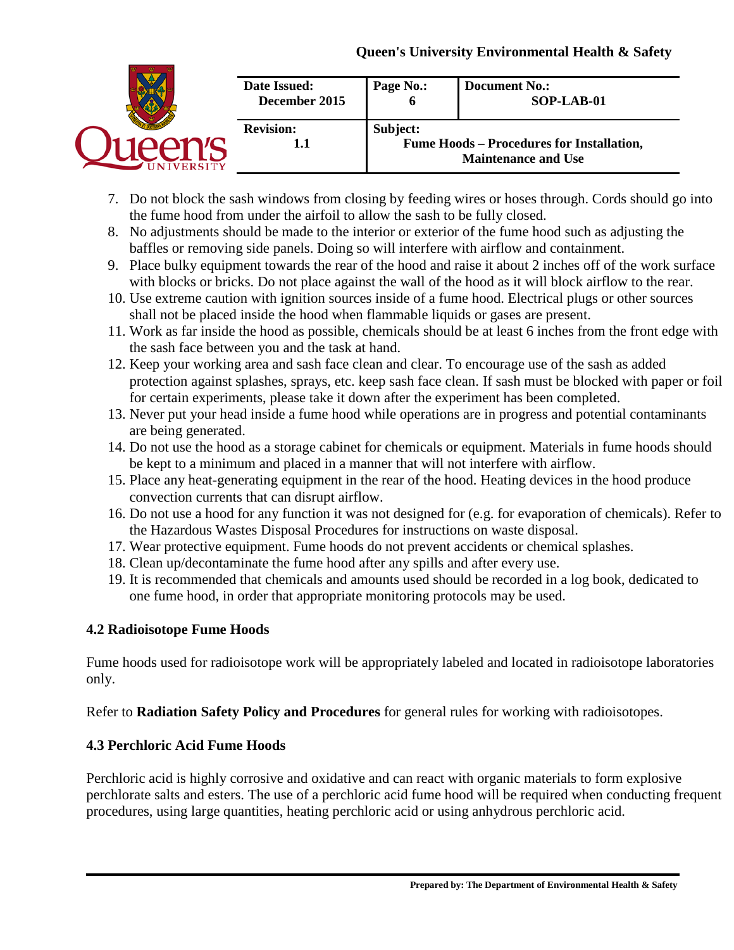| Date Issued:<br>December 2015 | Page No.: | <b>Document No.:</b><br>SOP-LAB-01                                             |
|-------------------------------|-----------|--------------------------------------------------------------------------------|
| <b>Revision:</b><br>1.1       | Subject:  | <b>Fume Hoods - Procedures for Installation,</b><br><b>Maintenance and Use</b> |

- 7. Do not block the sash windows from closing by feeding wires or hoses through. Cords should go into the fume hood from under the airfoil to allow the sash to be fully closed.
- 8. No adjustments should be made to the interior or exterior of the fume hood such as adjusting the baffles or removing side panels. Doing so will interfere with airflow and containment.
- 9. Place bulky equipment towards the rear of the hood and raise it about 2 inches off of the work surface with blocks or bricks. Do not place against the wall of the hood as it will block airflow to the rear.
- 10. Use extreme caution with ignition sources inside of a fume hood. Electrical plugs or other sources shall not be placed inside the hood when flammable liquids or gases are present.
- 11. Work as far inside the hood as possible, chemicals should be at least 6 inches from the front edge with the sash face between you and the task at hand.
- 12. Keep your working area and sash face clean and clear. To encourage use of the sash as added protection against splashes, sprays, etc. keep sash face clean. If sash must be blocked with paper or foil for certain experiments, please take it down after the experiment has been completed.
- 13. Never put your head inside a fume hood while operations are in progress and potential contaminants are being generated.
- 14. Do not use the hood as a storage cabinet for chemicals or equipment. Materials in fume hoods should be kept to a minimum and placed in a manner that will not interfere with airflow.
- 15. Place any heat-generating equipment in the rear of the hood. Heating devices in the hood produce convection currents that can disrupt airflow.
- 16. Do not use a hood for any function it was not designed for (e.g. for evaporation of chemicals). Refer to the Hazardous Wastes Disposal Procedures for instructions on waste disposal.
- 17. Wear protective equipment. Fume hoods do not prevent accidents or chemical splashes.
- 18. Clean up/decontaminate the fume hood after any spills and after every use.
- 19. It is recommended that chemicals and amounts used should be recorded in a log book, dedicated to one fume hood, in order that appropriate monitoring protocols may be used.

# **4.2 Radioisotope Fume Hoods**

Fume hoods used for radioisotope work will be appropriately labeled and located in radioisotope laboratories only.

Refer to **Radiation Safety Policy and Procedures** for general rules for working with radioisotopes.

# **4.3 Perchloric Acid Fume Hoods**

Perchloric acid is highly corrosive and oxidative and can react with organic materials to form explosive perchlorate salts and esters. The use of a perchloric acid fume hood will be required when conducting frequent procedures, using large quantities, heating perchloric acid or using anhydrous perchloric acid.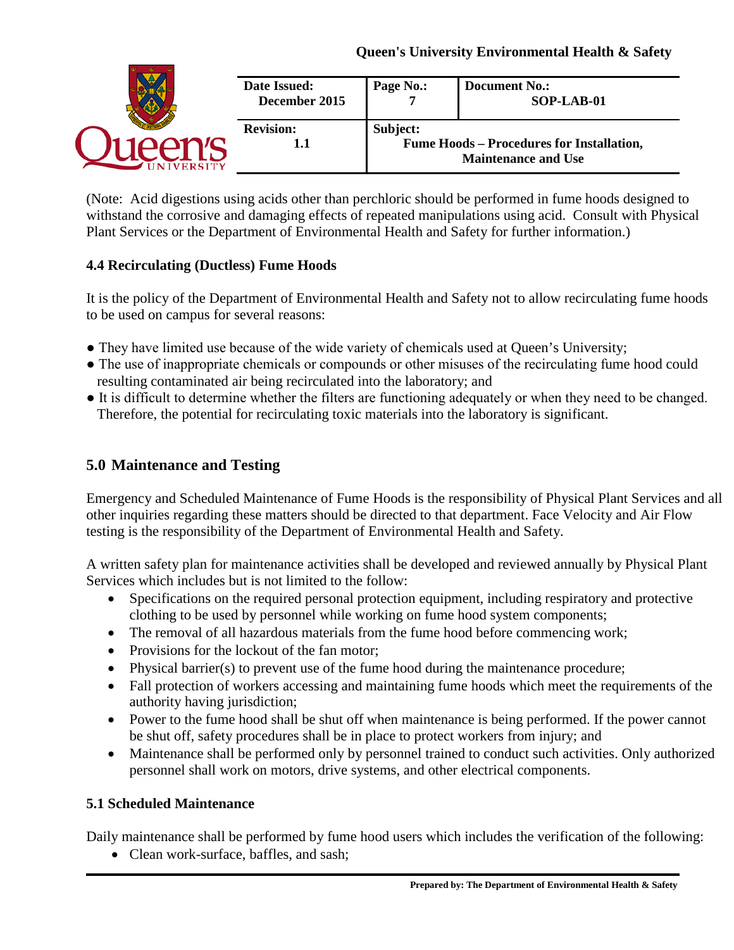| <b>Date Issued:</b><br>December 2015 | Page No.: | <b>Document No.:</b><br>SOP-LAB-01                                             |
|--------------------------------------|-----------|--------------------------------------------------------------------------------|
| <b>Revision:</b><br>1.1              | Subject:  | <b>Fume Hoods - Procedures for Installation,</b><br><b>Maintenance and Use</b> |

(Note: Acid digestions using acids other than perchloric should be performed in fume hoods designed to withstand the corrosive and damaging effects of repeated manipulations using acid. Consult with Physical Plant Services or the Department of Environmental Health and Safety for further information.)

# **4.4 Recirculating (Ductless) Fume Hoods**

It is the policy of the Department of Environmental Health and Safety not to allow recirculating fume hoods to be used on campus for several reasons:

- They have limited use because of the wide variety of chemicals used at Queen's University;
- The use of inappropriate chemicals or compounds or other misuses of the recirculating fume hood could resulting contaminated air being recirculated into the laboratory; and
- It is difficult to determine whether the filters are functioning adequately or when they need to be changed. Therefore, the potential for recirculating toxic materials into the laboratory is significant.

# **5.0 Maintenance and Testing**

Emergency and Scheduled Maintenance of Fume Hoods is the responsibility of Physical Plant Services and all other inquiries regarding these matters should be directed to that department. Face Velocity and Air Flow testing is the responsibility of the Department of Environmental Health and Safety.

A written safety plan for maintenance activities shall be developed and reviewed annually by Physical Plant Services which includes but is not limited to the follow:

- Specifications on the required personal protection equipment, including respiratory and protective clothing to be used by personnel while working on fume hood system components;
- The removal of all hazardous materials from the fume hood before commencing work;
- Provisions for the lockout of the fan motor;
- Physical barrier(s) to prevent use of the fume hood during the maintenance procedure;
- Fall protection of workers accessing and maintaining fume hoods which meet the requirements of the authority having jurisdiction;
- Power to the fume hood shall be shut off when maintenance is being performed. If the power cannot be shut off, safety procedures shall be in place to protect workers from injury; and
- Maintenance shall be performed only by personnel trained to conduct such activities. Only authorized personnel shall work on motors, drive systems, and other electrical components.

# **5.1 Scheduled Maintenance**

Daily maintenance shall be performed by fume hood users which includes the verification of the following:

• Clean work-surface, baffles, and sash;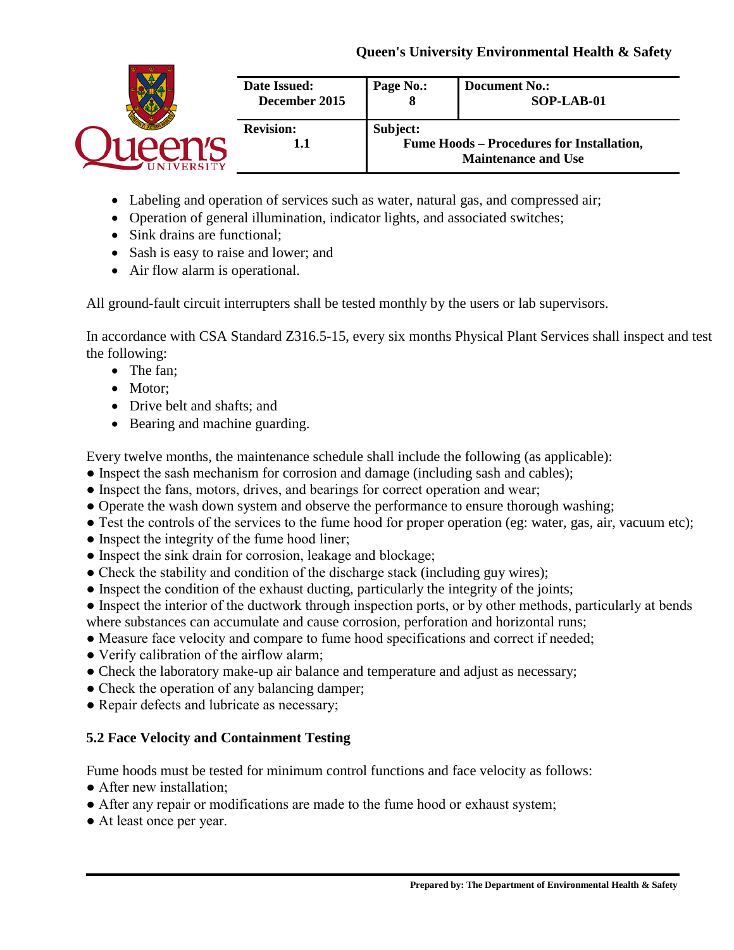| Date Issued:<br>December 2015 | Page No.: | <b>Document No.:</b><br>SOP-LAB-01                                             |
|-------------------------------|-----------|--------------------------------------------------------------------------------|
| <b>Revision:</b><br>1.1       | Subject:  | <b>Fume Hoods - Procedures for Installation,</b><br><b>Maintenance and Use</b> |

- Labeling and operation of services such as water, natural gas, and compressed air;
- Operation of general illumination, indicator lights, and associated switches;
- Sink drains are functional;
- Sash is easy to raise and lower; and
- Air flow alarm is operational.

All ground-fault circuit interrupters shall be tested monthly by the users or lab supervisors.

In accordance with CSA Standard Z316.5-15, every six months Physical Plant Services shall inspect and test the following:

- The fan:
- Motor:
- Drive belt and shafts: and
- Bearing and machine guarding.

Every twelve months, the maintenance schedule shall include the following (as applicable):

- Inspect the sash mechanism for corrosion and damage (including sash and cables);
- Inspect the fans, motors, drives, and bearings for correct operation and wear;
- Operate the wash down system and observe the performance to ensure thorough washing;
- Test the controls of the services to the fume hood for proper operation (eg: water, gas, air, vacuum etc);
- Inspect the integrity of the fume hood liner;
- Inspect the sink drain for corrosion, leakage and blockage;
- Check the stability and condition of the discharge stack (including guy wires);
- Inspect the condition of the exhaust ducting, particularly the integrity of the joints;
- Inspect the interior of the ductwork through inspection ports, or by other methods, particularly at bends where substances can accumulate and cause corrosion, perforation and horizontal runs;
- Measure face velocity and compare to fume hood specifications and correct if needed;
- Verify calibration of the airflow alarm;
- Check the laboratory make-up air balance and temperature and adjust as necessary;
- Check the operation of any balancing damper;
- Repair defects and lubricate as necessary;

# **5.2 Face Velocity and Containment Testing**

Fume hoods must be tested for minimum control functions and face velocity as follows:

- After new installation;
- After any repair or modifications are made to the fume hood or exhaust system;
- At least once per year.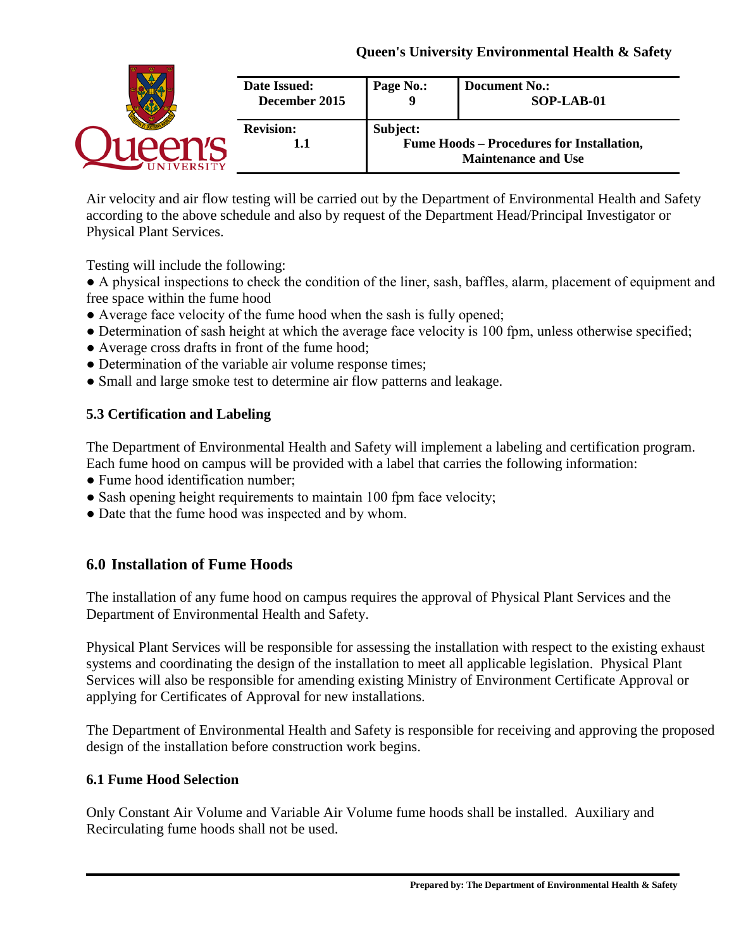|                | Date Issued:<br>December 2015 | Page No.: | <b>Document No.:</b><br>SOP-LAB-01                                             |
|----------------|-------------------------------|-----------|--------------------------------------------------------------------------------|
| <b>VERSITY</b> | <b>Revision:</b><br>1.1       | Subject:  | <b>Fume Hoods - Procedures for Installation,</b><br><b>Maintenance and Use</b> |

Air velocity and air flow testing will be carried out by the Department of Environmental Health and Safety according to the above schedule and also by request of the Department Head/Principal Investigator or Physical Plant Services.

Testing will include the following:

● A physical inspections to check the condition of the liner, sash, baffles, alarm, placement of equipment and free space within the fume hood

- Average face velocity of the fume hood when the sash is fully opened;
- Determination of sash height at which the average face velocity is 100 fpm, unless otherwise specified;
- Average cross drafts in front of the fume hood;
- Determination of the variable air volume response times;
- Small and large smoke test to determine air flow patterns and leakage.

# **5.3 Certification and Labeling**

The Department of Environmental Health and Safety will implement a labeling and certification program. Each fume hood on campus will be provided with a label that carries the following information:

- Fume hood identification number;
- Sash opening height requirements to maintain 100 fpm face velocity;
- Date that the fume hood was inspected and by whom.

# **6.0 Installation of Fume Hoods**

The installation of any fume hood on campus requires the approval of Physical Plant Services and the Department of Environmental Health and Safety.

Physical Plant Services will be responsible for assessing the installation with respect to the existing exhaust systems and coordinating the design of the installation to meet all applicable legislation. Physical Plant Services will also be responsible for amending existing Ministry of Environment Certificate Approval or applying for Certificates of Approval for new installations.

The Department of Environmental Health and Safety is responsible for receiving and approving the proposed design of the installation before construction work begins.

# **6.1 Fume Hood Selection**

Only Constant Air Volume and Variable Air Volume fume hoods shall be installed. Auxiliary and Recirculating fume hoods shall not be used.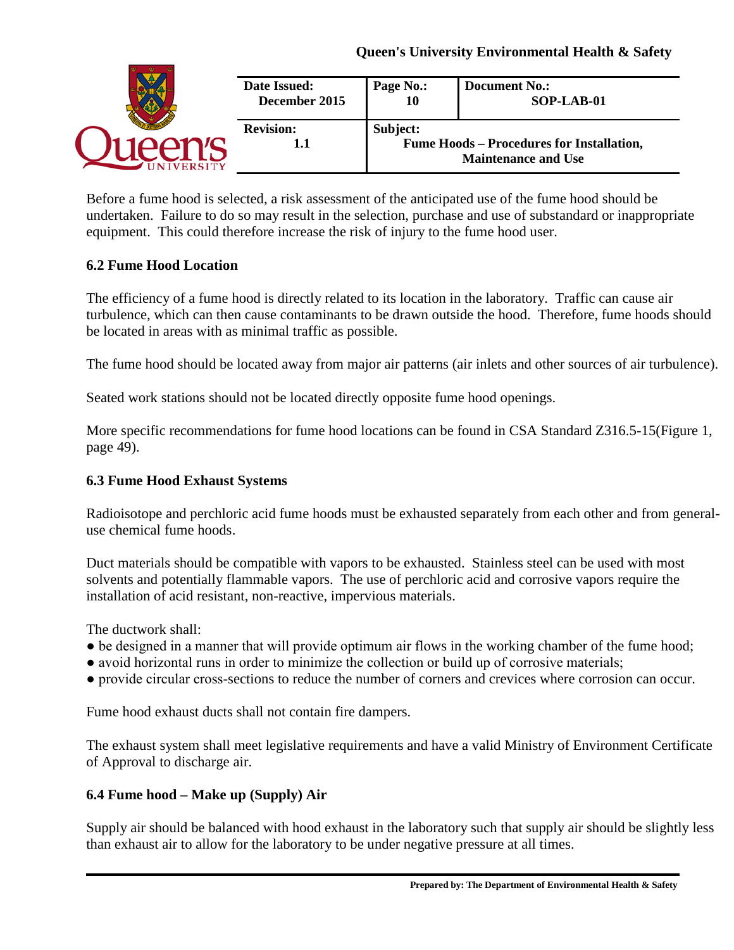| Date Issued:            | Page No.: | <b>Document No.:</b> |
|-------------------------|-----------|----------------------|
| December 2015           | 10        | SOP-LAB-01           |
| <b>Revision:</b><br>1.1 | Subject:  |                      |

Before a fume hood is selected, a risk assessment of the anticipated use of the fume hood should be undertaken. Failure to do so may result in the selection, purchase and use of substandard or inappropriate equipment. This could therefore increase the risk of injury to the fume hood user.

### **6.2 Fume Hood Location**

The efficiency of a fume hood is directly related to its location in the laboratory. Traffic can cause air turbulence, which can then cause contaminants to be drawn outside the hood. Therefore, fume hoods should be located in areas with as minimal traffic as possible.

The fume hood should be located away from major air patterns (air inlets and other sources of air turbulence).

Seated work stations should not be located directly opposite fume hood openings.

More specific recommendations for fume hood locations can be found in CSA Standard Z316.5-15(Figure 1, page 49).

## **6.3 Fume Hood Exhaust Systems**

Radioisotope and perchloric acid fume hoods must be exhausted separately from each other and from generaluse chemical fume hoods.

Duct materials should be compatible with vapors to be exhausted. Stainless steel can be used with most solvents and potentially flammable vapors. The use of perchloric acid and corrosive vapors require the installation of acid resistant, non-reactive, impervious materials.

The ductwork shall:

- be designed in a manner that will provide optimum air flows in the working chamber of the fume hood;
- avoid horizontal runs in order to minimize the collection or build up of corrosive materials;
- provide circular cross-sections to reduce the number of corners and crevices where corrosion can occur.

Fume hood exhaust ducts shall not contain fire dampers.

The exhaust system shall meet legislative requirements and have a valid Ministry of Environment Certificate of Approval to discharge air.

### **6.4 Fume hood – Make up (Supply) Air**

Supply air should be balanced with hood exhaust in the laboratory such that supply air should be slightly less than exhaust air to allow for the laboratory to be under negative pressure at all times.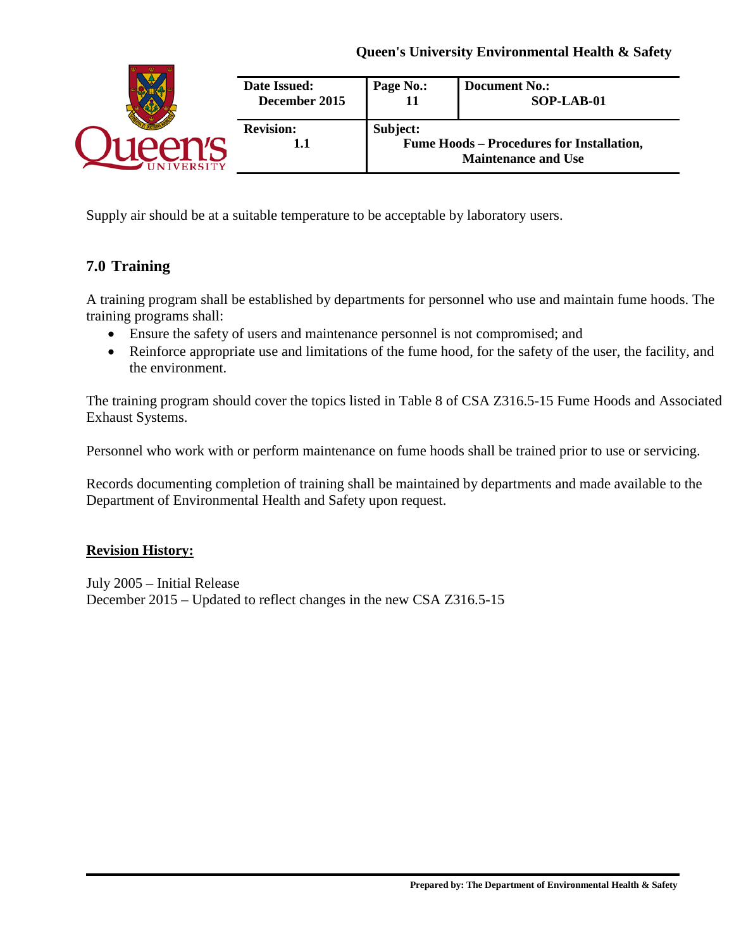| Date Issued:<br>December 2015 | Page No.: | <b>Document No.:</b><br>SOP-LAB-01                                             |
|-------------------------------|-----------|--------------------------------------------------------------------------------|
| <b>Revision:</b><br>1.1       | Subject:  | <b>Fume Hoods - Procedures for Installation,</b><br><b>Maintenance and Use</b> |

Supply air should be at a suitable temperature to be acceptable by laboratory users.

# **7.0 Training**

A training program shall be established by departments for personnel who use and maintain fume hoods. The training programs shall:

- Ensure the safety of users and maintenance personnel is not compromised; and
- Reinforce appropriate use and limitations of the fume hood, for the safety of the user, the facility, and the environment.

The training program should cover the topics listed in Table 8 of CSA Z316.5-15 Fume Hoods and Associated Exhaust Systems.

Personnel who work with or perform maintenance on fume hoods shall be trained prior to use or servicing.

Records documenting completion of training shall be maintained by departments and made available to the Department of Environmental Health and Safety upon request.

#### **Revision History:**

July 2005 – Initial Release December 2015 – Updated to reflect changes in the new CSA Z316.5-15